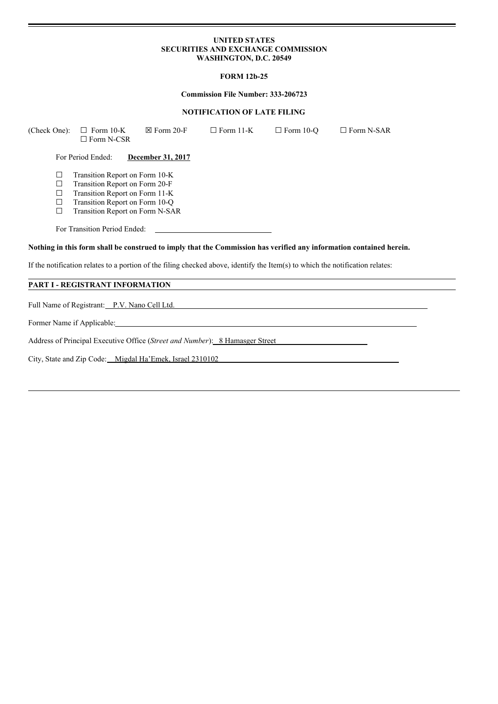## **UNITED STATES SECURITIES AND EXCHANGE COMMISSION WASHINGTON, D.C. 20549**

## **FORM 12b-25**

#### **Commission File Number: 333-206723**

#### **NOTIFICATION OF LATE FILING**

(Check One):  $\Box$  Form 10-K  $\boxtimes$  Form 20-F  $\Box$  Form 11-K  $\Box$  Form 10-Q  $\Box$  Form N-SAR ☐ Form N-CSR For Period Ended: **December 31, 2017**  $\Box$  Transition Report on Form 10-K<br> $\Box$  Transition Report on Form 20-F  $\Box$  Transition Report on Form 20-F<br> $\Box$  Transition Report on Form 11-K ☐ Transition Report on Form 11-K ☐ Transition Report on Form 10-Q ☐ Transition Report on Form N-SAR For Transition Period Ended: Nothing in this form shall be construed to imply that the Commission has verified any information contained herein. If the notification relates to a portion of the filing checked above, identify the Item(s) to which the notification relates: **PART I - REGISTRANT INFORMATION** Full Name of Registrant: P.V. Nano Cell Ltd.

Former Name if Applicable:

Address of Principal Executive Office (*Street and Number*): 8 Hamasger Street

City, State and Zip Code: Migdal Ha'Emek, Israel 2310102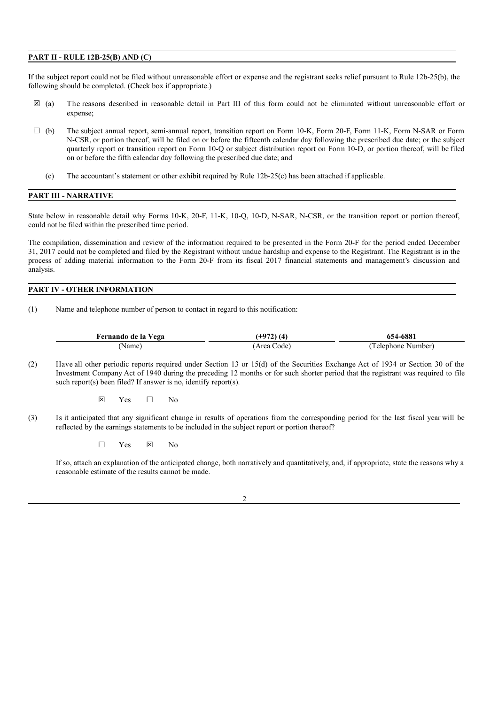### **PART II - RULE 12B-25(B) AND (C)**

If the subject report could not be filed without unreasonable effort or expense and the registrant seeks relief pursuant to Rule 12b-25(b), the following should be completed. (Check box if appropriate.)

- ☒ (a) The reasons described in reasonable detail in Part III of this form could not be eliminated without unreasonable effort or expense;
- ☐ (b) The subject annual report, semi-annual report, transition report on Form 10-K, Form 20-F, Form 11-K, Form N-SAR or Form N-CSR, or portion thereof, will be filed on or before the fifteenth calendar day following the prescribed due date; or the subject quarterly report or transition report on Form 10-Q or subject distribution report on Form 10-D, or portion thereof, will be filed on or before the fifth calendar day following the prescribed due date; and
	- (c) The accountant's statement or other exhibit required by Rule 12b-25(c) has been attached if applicable.

## **PART III - NARRATIVE**

State below in reasonable detail why Forms 10-K, 20-F, 11-K, 10-Q, 10-D, N-SAR, N-CSR, or the transition report or portion thereof, could not be filed within the prescribed time period.

The compilation, dissemination and review of the information required to be presented in the Form 20-F for the period ended December 31, 2017 could not be completed and filed by the Registrant without undue hardship and expense to the Registrant. The Registrant is in the process of adding material information to the Form 20-F from its fiscal 2017 financial statements and management's discussion and analysis.

# **PART IV - OTHER INFORMATION**

(1) Name and telephone number of person to contact in regard to this notification:

| Fernando de la Vega | $+072$     | 654-6881           |
|---------------------|------------|--------------------|
| (Name               | Area Code) | (Telephone Number) |

(2) Have all other periodic reports required under Section 13 or 15(d) of the Securities Exchange Act of 1934 or Section 30 of the Investment Company Act of 1940 during the preceding 12 months or for such shorter period that the registrant was required to file such report(s) been filed? If answer is no, identify report(s).

 $\boxtimes$  Yes  $\Box$  No

(3) Is it anticipated that any significant change in results of operations from the corresponding period for the last fiscal year will be reflected by the earnings statements to be included in the subject report or portion thereof?

 $\square$  Yes  $\square$  No

If so, attach an explanation of the anticipated change, both narratively and quantitatively, and, if appropriate, state the reasons why a reasonable estimate of the results cannot be made.